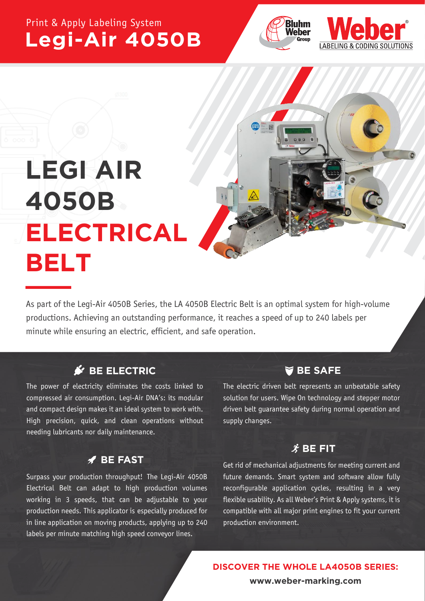## Print & Apply Labeling System **Legi-Air 4050B**





# **LEGI AIR 4050B ELECTRICAL BELT**

As part of the Legi-Air 4050B Series, the LA 4050B Electric Belt is an optimal system for high-volume productions. Achieving an outstanding performance, it reaches a speed of up to 240 labels per minute while ensuring an electric, efficient, and safe operation.

### **SBE ELECTRIC**

The power of electricity eliminates the costs linked to compressed air consumption. Legi-Air DNA's: its modular and compact design makes it an ideal system to work with. High precision, quick, and clean operations without needing lubricants nor daily maintenance.

### **BE FAST**

Surpass your production throughput! The Legi-Air 4050B Electrical Belt can adapt to high production volumes working in 3 speeds, that can be adjustable to your production needs. This applicator is especially produced for in line application on moving products, applying up to 240 labels per minute matching high speed conveyor lines.

### **BE SAFE**

The electric driven belt represents an unbeatable safety solution for users. Wipe On technology and stepper motor driven belt guarantee safety during normal operation and supply changes.

### $\hat{\mathbf{X}}$  BE FIT

Get rid of mechanical adjustments for meeting current and future demands. Smart system and software allow fully reconfigurable application cycles, resulting in a very flexible usability. As all Weber's Print & Apply systems, it is compatible with all major print engines to fit your current production environment.

**DISCOVER THE WHOLE LA4050B SERIES:**

**www.weber-marking.com**